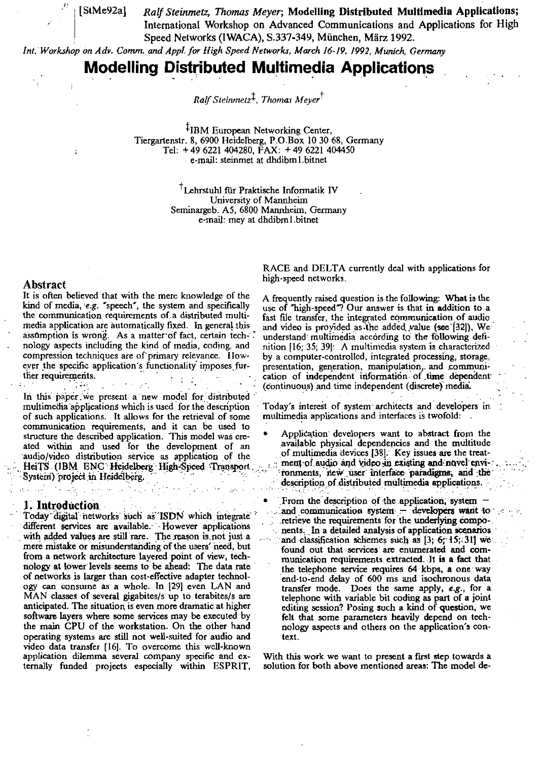[StMe92a]

Ralf Steinmetz, Thomas Meyer; Modelling Distributed Multimedia Applications; International Workshop on Advanced Communications and Applications for High Speed Networks (IWACA), S.337-349, München, März 1992.

Int. Workshop on Adv. Comm. and Appl. for High Speed Networks, March 16-19, 1992, Munich, Germany

# **Modelling Distributed Multimedia Applications**

Ralf Steinmetz<sup>‡</sup>, Thomas Mever<sup>†</sup>

<sup>‡</sup>IBM European Networking Center, Tiergartenstr. 8, 6900 Heidelberg, P.O.Box 10 30 68, Germany Tel: +49 6221 404280, FAX: +49 6221 404450 e-mail: steinmet at dhdibm l.bitnet

> Lehrstuhl für Praktische Informatik IV University of Mannheim Seminargeb. A5, 6800 Mannheim, Germany e-mail: mey at dhdibm1.bitnet

#### **Abstract**

It is often believed that with the mere knowledge of the kind of media, e.g. "speech", the system and specifically the communication requirements of a distributed multimedia application are automatically fixed. In general this assumption is wrong. As a matter of fact, certain tech-. nology aspects including the kind of media, coding, and compression techniques are of primary relevance. However the specific application's functionality imposes further requirements.

In this paper we present a new model for distributed multimedia applications which is used for the description of such applications. It allows for the retrieval of some communication requirements, and it can be used to structure the described application. This model was created within and used for the development of an audio/video distribution service as application of the HeiTS (IBM ENC Heidelberg High-Speed Transport. System) project in Heidelberg.

#### 1. Introduction

Today digital networks such as ISDN which integrate different services are available. - However applications with added values are still rare. The reason is not just a mere mistake or misunderstanding of the users' need, but from a network architecture layered point of view, technology at lower levels seems to be ahead: The data rate of networks is larger than cost-effective adapter technology can consume as a whole. In [29] even LAN and MAN classes of several gigabites/s up to terabites/s are anticipated. The situation is even more dramatic at higher software layers where some services may be executed by the main CPU of the workstation. On the other hand operating systems are still not well-suited for audio and video data transfer [16]. To overcome this well-known application dilemma several company specific and externally funded projects especially within ESPRIT,

RACE and DELTA currently deal with applications for high-speed networks.

A frequently raised question is the following: What is the use of "high-speed"? Our answer is that in addition to a fast file transfer, the integrated communication of audio and video is provided as the added value (see [32]). We understand multimedia according to the following definition [16; 35; 39]: A multimedia system is characterized by a computer-controlled, integrated processing, storage, presentation, generation, manipulation, and communication of independent information of time dependent (continuous) and time independent (discrete) media.

Today's interest of system architects and developers in multimedia applications and interfaces is twofold:

- Application developers want to abstract from the available physical dependencies and the multitude of multimedia devices [38]. Key issues are the treatment of audio and video in existing and novel environments, new user interface paradigms, and the description of distributed multimedia applications.
- From the description of the application, system and communication system  $-$  developers want to retrieve the requirements for the underlying components. In a detailed analysis of application scenarios and classification schemes such as [3; 6; 15; 31] we found out that services are enumerated and communication requirements extracted. It is a fact that the telephone service requires 64 kbps, a one way end-to-end delay of 600 ms and isochronous data transfer mode. Does the same apply, e.g., for a telephone with variable bit coding as part of a joint editing session? Posing such a kind of question, we felt that some parameters heavily depend on technology aspects and others on the application's context.

With this work we want to present a first step towards a solution for both above mentioned areas: The model de-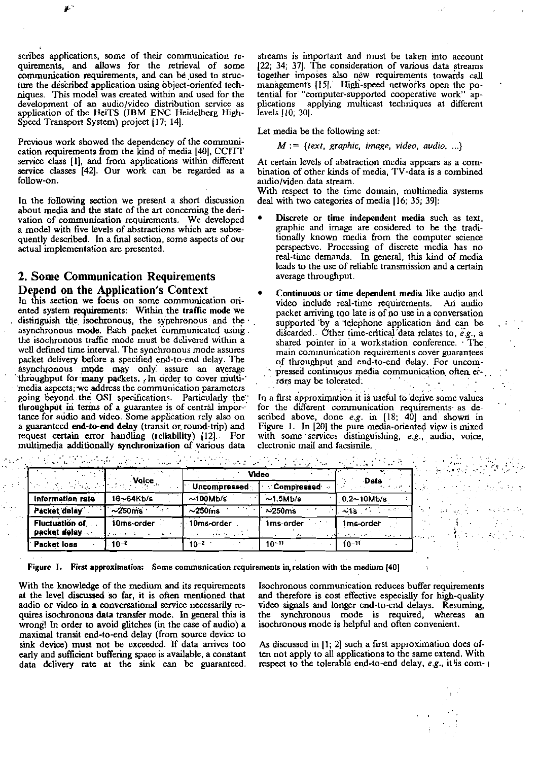scribes applications, some of their communication requirements, and allows for the retrieval of some communication requirements, and can be used to structure the described application using object-oriented techniques. This model was created within and used for the development of an audio/video distribution service as application of the HeiTS (IBM ENC Heidelberg High-Speed Transport System) project [17; 14].

Previous work showed the dependency of the communication requirements from the kind of media [40], CCITT service class [1], and from applications within different service classes [42]. Our work can be regarded as a follow-on.

In the following section we present a short discussion about media and the state of the art concerning the derivation of communication requirements. We developed a model with five levels of abstractions which are subsequently described. In a final section, some aspects of our actual implementation are presented.

## 2. Some Communication Requirements Depend on the Application's Context

In this section we focus on some communication oriented system requirements: Within the traffic mode we distinguish the isochronous, the synchronous and the asynchronous mode. Each packet communicated using the isochronous traffic mode must be delivered within a well defined time interval. The synchronous mode assures packet delivery before a specified end-to-end delay. The asynchronous mode may only assure an average throughput for many packets. In order to cover multimedia aspects, we address the communication parameters going beyond the OSI specifications. Particularly the throughput in terms of a guarantee is of central importance for audio and video. Some application rely also on a guaranteed end-to-end delay (transit or round-trip) and request certain error handling (reliability) [12]. For multimedia additionally synchronization of various data

streams is important and must be taken into account [22: 34: 37]. The consideration of various data streams together imposes also new requirements towards call managements [15]. High-speed networks open the potential for "computer-supported cooperative work" applications applying multicast techniques at different levels [10, 30].

Let media be the following set:

#### $M := \{ text, graphic, image, video, audio, ... \}$

At certain levels of abstraction media appears as a combination of other kinds of media, TV-data is a combined audio/video data stream.

With respect to the time domain, multimedia systems deal with two categories of media [16; 35; 39]:

- Discrete or time independent media such as text. graphic and image are cosidered to be the traditionally known media from the computer science perspective. Processing of discrete media has no real-time demands. In general, this kind of media leads to the use of reliable transmission and a certain average throughput.
- Continuous or time dependent media like audio and video include real-time requirements. An audio packet arriving too late is of no use in a conversation supported by a telephone application and can be discarded. Other time-critical data relates to, e.g., a shared pointer in a workstation conference. The main communication requirements cover guarantees of throughput and end-to-end delay. For uncompressed continuous media communication often errors may be tolerated.  $\mathcal{L}_{\rm{max}}$

In a first approximation it is useful to derive some values for the different communication requirements as described above, done  $e.g.$  in  $[18; 40]$  and shown in Figure 1. In [20] the pure media-oriented view is mixed with some services distinguishing, e.g., audio, voice, clectronic mail and facsimile.

an Alban (1977)<br>Talah

|                                       |                        | $\sim$ $\sim$<br>Video |                          |                                   |
|---------------------------------------|------------------------|------------------------|--------------------------|-----------------------------------|
| <b>Service State</b>                  | Volce                  | Uncompressed           | $\sim$ Compressed $\sim$ | ∙Data                             |
| Information rate                      | 16~64Kb/s              | $\sim$ 100Mb/s         | $\sim$ 1.5Mb/s           | $0.2 - 10$ Mb/s                   |
| Packet delay                          | $-250$ ms              | $\sim$ 250 $ms$        | $\approx$ 250 $ms$       | ~15                               |
| <b>Fluctuation of</b><br>packet delay | 10 <sub>ms</sub> order | 10ms-order             | 1ms-order                | 1 <sub>ms-order</sub><br>the com- |
| <b>Packet loss</b>                    | 10-2                   | $10-2$                 | $10^{-11}$               | $10 - 11$                         |

Figure I. First approximation: Some communication requirements in relation with the medium [40]

With the knowledge of the medium and its requirements at the level discussed so far, it is often mentioned that audio or video in a conversational service necessarily requires isochronous data transfer mode. In general this is wrong! In order to avoid glitches (in the case of audio) a maximal transit end-to-end delay (from source device to sink device) must not be exceeded. If data arrives too early and sufficient buffering space is available, a constant data delivery rate at the sink can be guaranteed. Isochronous communication reduces buffer requirements and therefore is cost effective especially for high-quality video signals and longer end-to-end delays. Resuming, the synchronous mode is required, whereas an isochronous mode is helpful and often convenient.

As discussed in [1; 2] such a first approximation does often not apply to all applications to the same extend. With respect to the tolerable end-to-end delay, e.g., it is com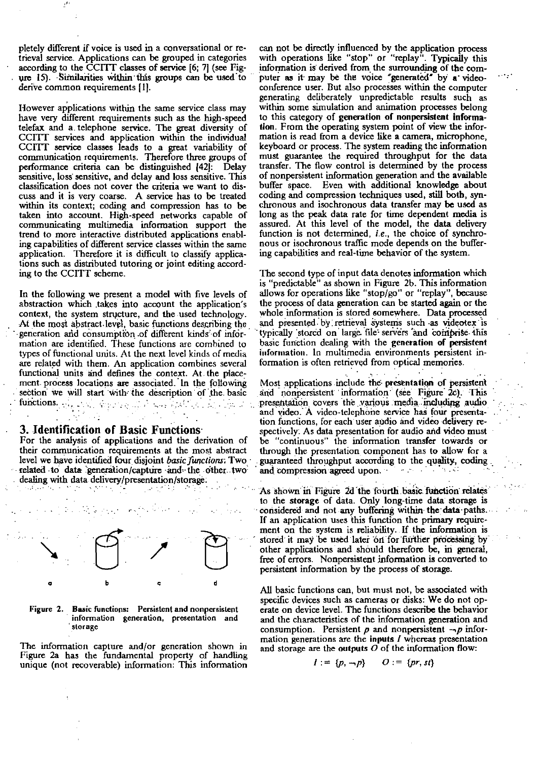pletely different if voice is used in a conversational or retrieval service. Applications can be grouped in categories according to the CCITT classes of service [6; 7] (see Figure 15). Similarities within this groups can be used to derive common requirements [1].

However applications within the same service class may have very different requirements such as the high-speed telefax and a telephone service. The great diversity of CCITT services and application within the individual<br>CCITT service classes leads to a great variability of<br>communication requirements. Therefore three groups of performance criteria can be distinguished [42]. Delay sensitive, loss sensitive, and delay and loss sensitive. This classification does not cover the criteria we want to discuss and it is very coarse. A service has to be treated within its context; coding and compression has to be taken into account. High-speed networks capable of communicating multimedia information support the trend to more interactive distributed applications enabling capabilities of different service classes within the same application. Therefore it is difficult to classify applications such as distributed tutoring or joint editing according to the CCITT scheme.

In the following we present a model with five levels of abstraction which takes into account the application's context, the system structure, and the used technology. At the most abstract level, basic functions describing the generation and consumption of different kinds of information are identified. These functions are combined to types of functional units. At the next level kinds of media are related with them. An application combines several functional units and defines the context. At the placement process locations are associated. In the following section we will start with the description of the basic  $\textbf{functions}_{\mathcal{O}(\mathcal{C})}[\phi_{\mathcal{O}(\mathcal{C})}(\mathcal{C})] \otimes \phi_{\mathcal{O}(\mathcal{C})}[\phi_{\mathcal{O}(\mathcal{C})}(\mathcal{C})] \otimes \phi_{\mathcal{O}(\mathcal{C})}[\phi_{\mathcal{O}(\mathcal{C})}(\mathcal{C})] \otimes \phi_{\mathcal{O}(\mathcal{C})}[\phi_{\mathcal{O}(\mathcal{C})}(\mathcal{C})]$ 

#### 3. Identification of Basic Functions

 $\mathcal{A}_{\mathcal{L}}$  .

 $\sim 10^{-1}$ 

 $\sim 10^{-10}$  M

For the analysis of applications and the derivation of their communication requirements at the most abstract level we have identified four disjoint basic functions. Two related to data generation/capture and the other two dealing with data delivery/presentation/storage.

 $\sim 10^7$ 



Basic functions: Persistent and nonpersistent Figure 2. information generation, presentation and storage

The information capture and/or generation shown in Figure 2a has the fundamental property of handling unique (not recoverable) information. This information

can not be directly influenced by the application process with operations like "stop" or "replay". Typically this information is derived from the surrounding of the computer as it may be the voice "generated" by a videoconference user. But also processes within the computer generating deliberately unpredictable results such as within some simulation and animation processes belong to this category of generation of nonpersistent information. From the operating system point of view the information is read from a device like a camera, microphone, keyboard or process. The system reading the information must guarantee the required throughput for the data transfer. The flow control is determined by the process of nonpersistent information generation and the available Even with additional knowledge about buffer space. coding and compression techniques used, still both, synchronous and isochronous data transfer may be used as long as the peak data rate for time dependent media is assured. At this level of the model, the data delivery function is not determined, i.e., the choice of synchronous or isochronous traffic mode depends on the buffering capabilities and real-time behavior of the system.

The second type of input data denotes information which is "predictable" as shown in Figure 2b. This information allows for operations like "stop/go" or "replay", because the process of data generation can be started again or the whole information is stored somewhere. Data processed and presented by retrieval systems such as videotex is typically stored on large file servers and comprise this basic function dealing with the generation of persistent information. In multimedia environments persistent information is often retrieved from optical memories.

Most applications include the presentation of persistent and nonpersistent information (see Figure 2c). This presentation covers the various media including audio and video. A video-telephone service has four presentation functions, for each user audio and video delivery respectively. As data presentation for audio and video must be "continuous" the information transfer towards or through the presentation component has to allow for a guaranteed throughput according to the quality, coding. and compression agreed upon  $\mathcal{L}^{\text{max}}(\mathcal{A})$  .

As shown in Figure 2d the fourth basic function relates to the storage of data. Only long-time data storage is considered and not any buffering within the data paths. If an application uses this function the primary requirement on the system is reliability. If the information is stored it may be used later on for further processing by other applications and should therefore be, in general, free of errors. Nonpersistent information is converted to persistent information by the process of storage.

All basic functions can, but must not, be associated with specific devices such as cameras or disks: We do not operate on device level. The functions describe the behavior and the characteristics of the information generation and consumption. Persistent  $p$  and nonpersistent  $\neg p$  information generations are the inputs  $I$  whereas presentation and storage are the outputs  $O$  of the information flow:

> $l := \{p, \neg p\}$  $Q := \{pr, st\}$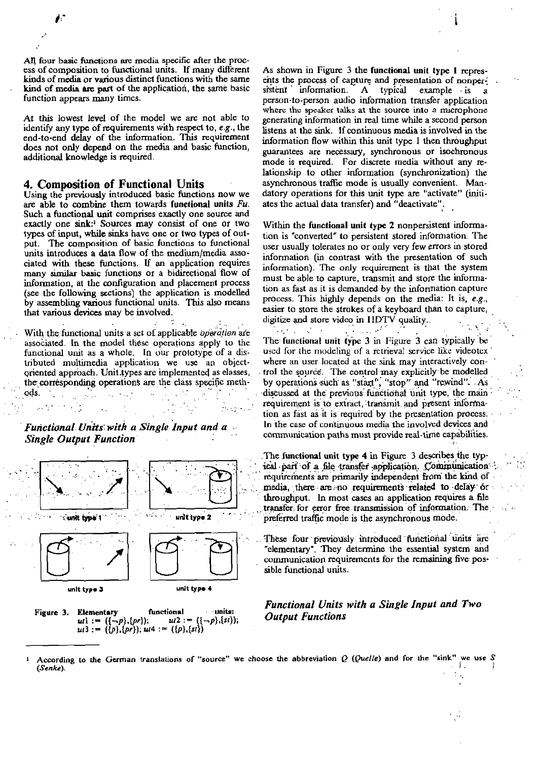All four basic functions are media specific after the process of composition to functional units. If many different kinds of media or various distinct functions with the same kind of media are part of the application, the same basic function appears many times.

At this lowest level of the model we are not able to identify any type of requirements with respect to, e.g., the end-to-end delay of the information. This requirement does not only depend on the media and basic function. additional knowledge is required.

#### 4. Composition of Functional Units

Using the previously introduced basic functions now we are able to combine them towards functional units  $Fu$ . Such a functional unit comprises exactly one source and exactly one sink:<sup>1</sup> Sources may consist of one or two types of input, while sinks have one or two types of output. The composition of basic functions to functional units introduces a data flow of the medium/media associated with these functions. If an application requires many similar basic functions or a bidirectional flow of information, at the configuration and placement process (see the following sections) the application is modelled by assembling various functional units. This also means that various devices may be involved.

With the functional units a set of applicable operation are associated. In the model these operations apply to the functional unit as a whole. In our prototype of a distributed multimedia application we use an objectoriented approach. Unit types are implemented as elasses, the corresponding operations are the class specific methods.  $\mathcal{L}$  is a set of  $\mathcal{L}$  is a set of  $\mathcal{L}$  $\alpha$  ,  $\beta$  ,  $\beta$  ,  $\beta$ 

Functional Units with a Single Input and a **Single Output Function** 

 $\mathcal{L}^{\text{max}}_{\text{max}}$  and  $\mathcal{L}^{\text{max}}_{\text{max}}$ 



functional · units: Figure 3. **Elementary**  $ut := (\{-p\}, \{pr\});$  $ui2 := ((\neg p), \{st\})$  $u(3) := (\{p\}, \{pr\}); u(4) = (\{p\}, \{st\})$ 

As shown in Figure 3 the functional unit type 1 represents the process of capture and presentation of nonpersistent information. A typical example is a person-to-person audio information transfer application where the speaker talks at the source into a microphone generating information in real time while a second person listens at the sink. If continuous media is involved in the information flow within this unit type 1 then throughput guarantees are necessary, synchronous or isochronous mode is required. For discrete media without any relationship to other information (synchronization) the asynchronous traffic mode is usually convenient. Mandatory operations for this unit type are "activate" (initiates the actual data transfer) and "deactivate".

Within the functional unit type 2 nonpersistent information is "converted" to persistent stored information. The user usually tolerates no or only very few errors in stored information (in contrast with the presentation of such information). The only requirement is that the system must be able to capture, transmit and store the information as fast as it is demanded by the information capture process. This highly depends on the media: It is, e.g., easier to store the strokes of a keyboard than to capture, digitize and store video in HDTV quality.

The functional unit type 3 in Figure 3 can typically be used for the modeling of a retrieval service like videotex where an user located at the sink may interactively control the source. The control may explicitly be modelled by operations such as "start", "stop" and "rewind". As discussed at the previous functional unit type, the main requirement is to extract, transmit and present information as fast as it is required by the presentation process. In the case of continuous media the involved devices and communication paths must provide real-time capabilities.

The functional unit type 4 in Figure 3 describes the typical part of a file transfer application. Communication . requirements are primarily independent from the kind of media, there are no requirements related to delay or throughput. In most cases an application requires a file transfer for error free transmission of information. The preferred traffic mode is the asynchronous mode.

These four previously introduced functional units are "elementary". They determine the essential system and communication requirements for the remaining five possible functional units.

**Functional Units with a Single Input and Two Output Functions** 

According to the German translations of "source" we choose the abbreviation Q (Quelle) and for the "sink" we use S  $\Gamma_{\rm c}$ (Senke).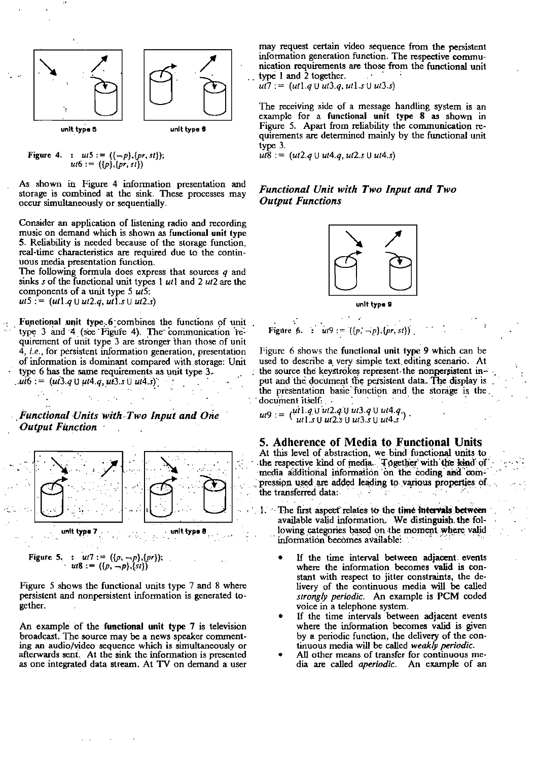

Figure 4. :  $ut5 := (\{-p\}, \{pr, st\});$ <br> $ut6 := (\{p\}, \{pr, st\})$ 

As shown in Figure 4 information presentation and storage is combined at the sink. These processes may occur simultaneously or sequentially.

Consider an application of listening radio and recording music on demand which is shown as functional unit type 5. Reliability is needed because of the storage function, real-time characteristics are required due to the continuous media presentation function.

The following formula does express that sources  $q$  and sinks s of the functional unit types 1  $ut1$  and 2  $ut2$  are the components of a unit type 5  $\hat{u}$ .  $ut5 := (ut1.q \cup ut2.q, ut1.s \cup ut2.s)$ 

Functional unit type 6 combines the functions of unit type 3 and 4 (see Figure 4). The communication requirement of unit type 3 are stronger than those of unit 4, i.e., for persistent information generation, presentation of information is dominant compared with storage: Unit type 6 has the same requirements as unit type 3.  $ui6 := (ui3.q \cup ut4.q, ui3.s \cup ut4.s)$ 

Functional Units with Two Input and One **Output Function** 

 $\mathcal{L}^{\text{max}}(\mathcal{L})$ 



Figure 5. :  $ut7 := (\{p, -p\}, \{pr\});$ <br> $ut8 := (\{p, -p\}, \{st\})$ 

Figure 5 shows the functional units type 7 and 8 where persistent and nonpersistent information is generated together.

An example of the functional unit type 7 is television broadcast. The source may be a news speaker commenting an audio/video sequence which is simultaneously or afterwards sent. At the sink the information is presented as one integrated data stream. At TV on demand a user

may request certain video sequence from the persistent information generation function. The respective communication requirements are those from the functional unit type 1 and 2 together.

 $u\overline{7}$  : = (ut1.a U ut3.a, ut1.s U ut3.s)

The receiving side of a message handling system is an example for a functional unit type 8 as shown in Figure 5. Apart from reliability the communication requirements are determined mainly by the functional unit  $t$ v<sub>De</sub> $3$ .

 $ut8 := (ut2.q \cup ut4.q ut2.s \cup ut4.s)$ 

### Functional Unit with Two Input and Two **Output Functions**





# Figure 6. :  $u(9) = ((p, -p), (pr, st))$ .

Figure 6 shows the functional unit type 9 which can be used to describe a very simple text editing scenario. At the source the keystrokes represent the nonpersistent input and the document the persistent data. The display is the presentation basic function and the storage is the document itself: .

 $ut9 := {ut1.9 \cup ut2.9 \cup ut3.9 \cup ut4.9 \choose ut1.5 \cup ut2.5 \cup ut3.5 \cup ut4.5}.$ 

### 5. Adherence of Media to Functional Units

At this level of abstraction, we bind functional units to<br>the respective kind of media. Together with the kind of<br>media additional information on the coding and compression used are added leading to various properties of the transferred data:

- 1. The first aspect relates to the time intervals between available valid information. We distinguish the following categories based on the moment where valid information becomes available:
	- If the time interval between adjacent events where the information becomes valid is constant with respect to jitter constraints, the delivery of the continuous media will be called strongly periodic. An example is PCM coded voice in a telephone system.
	- If the time intervals between adjacent events where the information becomes valid is given by a periodic function, the delivery of the continuous media will be called weakly periodic.
	- All other means of transfer for continuous media are called aperiodic. An example of an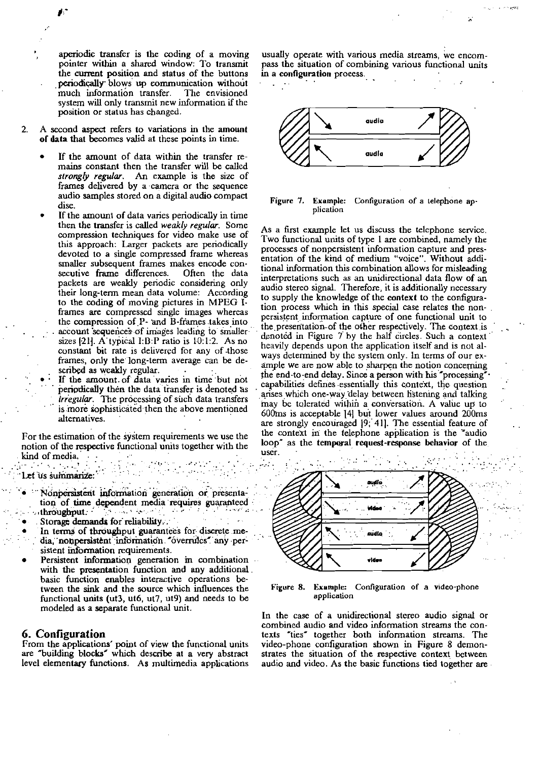aperiodic transfer is the coding of a moving pointer within a shared window: To transmit the current position and status of the buttons periodically blows up communication without much information transfer. The envisioned system will only transmit new information if the position or status has changed.

- $\overline{2}$ . A second aspect refers to variations in the amount of data that becomes valid at these points in time.
	- If the amount of data within the transfer remains constant then the transfer will be called strongly regular. An example is the size of frames delivered by a camera or the sequence audio samples stored on a digital audio compact dise
	- If the amount of data varies periodically in time then the transfer is called weakly regular. Some compression techniques for video make use of this approach: Larger packets are periodically devoted to a single compressed frame whereas smaller subsequent frames makes encode consecutive frame differences. Often the data packets are weakly periodic considering only their long-term mean data volume: According to the coding of moving pictures in MPEG Iframes are compressed single images whereas the compression of P- and B-frames takes into account sequences of images leading to smaller sizes [21]. A typical I:B:P ratio is 10.1:2. As no constant bit rate is delivered for any of those frames, only the long-term average can be described as weakly regular.
		- If the amount of data varies in time but not periodically then the data transfer is denoted as *irregular*. The processing of such data transfers is more sophisticated then the above mentioned alternatives.

For the estimation of the system requirements we use the notion of the respective functional units together with the kind of media, Let us summarize  $\mathbb{R}^n$  . The contract of  $\mathbb{R}^n$ 

- Nonpersistent information generation or presentation of time dependent media requires guaranteed<br>throughput.
- Storage demands for reliability.
- In terms of throughput guarantees for discrete media, nonpersistent information "overrules" any persistent information requirements.
- Persistent information generation in combination with the presentation function and any additional. basic function enables interactive operations between the sink and the source which influences the functional units (ut3, ut6, ut7, ut9) and needs to be modeled as a separate functional unit.

#### 6. Configuration

From the applications' point of view the functional units<br>are "building blocks" which describe at a very abstract level elementary functions. As multimedia applications

usually operate with various media streams, we encompass the situation of combining various functional units in a configuration process.



Figure 7. Example: Configuration of a telephone application

As a first example let us discuss the telephone service. Two functional units of type 1 are combined, namely the processes of nonpersistent information capture and presentation of the kind of medium "voice". Without additional information this combination allows for misleading interpretations such as an unidirectional data flow of an audio stereo signal. Therefore, it is additionally necessary to supply the knowledge of the context to the configuration process which in this special case relates the nonpersistent information capture of one functional unit to the presentation of the other respectively. The context is denoted in Figure 7 by the half circles. Such a context heavily depends upon the application itself and is not always determined by the system only. In terms of our example we are now able to sharpen the notion concerning the end-to-end delay. Since a person with his "processing" capabilities defines essentially this context, the question arises which one-way delay between listening and talking may be tolerated within a conversation. A value up to 600ms is acceptable [4] but lower values around 200ms are strongly encouraged [9; 41]. The essential feature of the context in the telephone application is the "audio loop" as the temporal request-response behavior of the user.



Example: Configuration of a video-phone Figure 8. application

In the case of a unidirectional stereo audio signal or combined audio and video information streams the contexts "ties" together both information streams. The video-phone configuration shown in Figure 8 demonstrates the situation of the respective context between audio and video. As the basic functions tied together are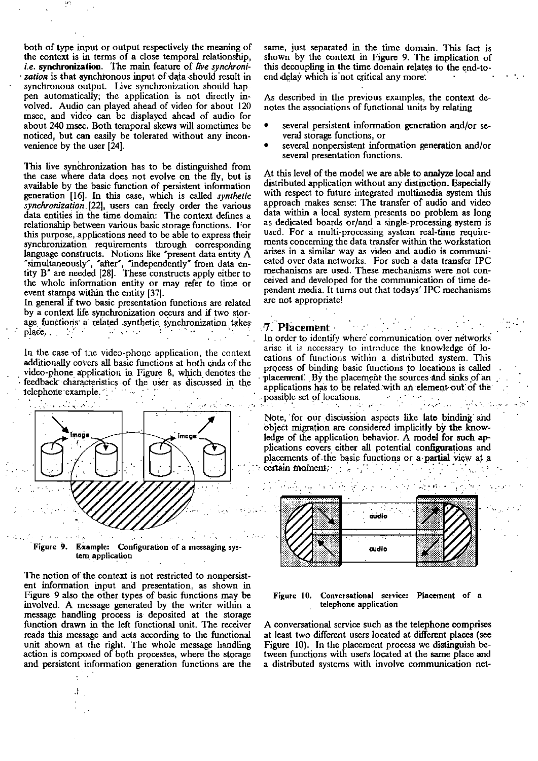both of type input or output respectively the meaning of the context is in terms of a close temporal relationship, *i.e.* **synchronization.** The main feature of *live synchroni*zation is that synchronous input of data should result in synchronous output. Live synchronization should happen automatically; the application is not directly involved. Audio can played ahead of video for about 120 msec, and video **can** be displayed ahead of audio for about 240 msec. Both temporal skews will sometimes be noticed, but can easily be tolerated without any inconvenience by the user [24].

This live synchronization has to be distinguished from the case where data does not evolve on the fly, but is available by the basic function of persistent information generation 1161. In this case, which is caiied *synthelic synchronization* [22], users can freely order the various data entities in the time domain: The context defines a relationship between various basic storage functions. For this purpose, applications need to **be** able to express their synchronization requirements through corresponding language constructs. Notions like "present data entity A "simuitaneously", "alter', "independently" from data entity B" **are** needed [28]. These constmcts apply either to the whole information entity or may refer to time or event stamps within the entity [37].

In general if two basic presentation functions are related<br>by a context life synchronization occurs and if two storage functions a related synthetic synchronization takes<br>place.<br>In order to identify where communication over networks<br>arise it is necessary to introduce the knowledge of lo-

additionally covers all basic functions at both ends of the cations of functions within a. distributed system. This video-phone application in Figure 8, which denotes the category of binding basic functions to locations is additionally covers all basic functions at both ends of the<br>video-phone application in Figure 8, which denotes the<br>feedback characteristics of the user as discussed in the<br>telephone example



Pigure 9. Example: Configuraüon of a messaging sys-**Lern** applicaüon

The notion of the context is not restricted to nonpersistent information input and presentation, as shown in Figure 9 also the other types of basic functions may be **Figure 10.** Conversational service: Placement of a involved. A message generated by the writer within a telephone application involved. A message generated by the writer within a message handling process is deposited at the storage function **drawn** in the left lunctional unit. The receiver A conversationai scwice such **as** the telephone comprixs action is composed of both processes, where the storage and persistent information generation functions are the

same, just separated in the time domain. This fact is shown by the context in Figure 9. The implication of this decoupling in the time domain relates to the end-to-<br>end delay which is not critical any more:

As described in the previous examples, the context denotes the associations of functional units by relating

- several persistent information generation and/or several storage functions, or
- several nonpersistent information generation and/or several oresentation functions.

At this level of the model we **are** able to **analyze** local and distributed application without any distinction. Especially with respect to future integrated multimedia system this approach makes sense: The transfer of audio and video data within a local system presents no problem as long as dedicated boards or/and a single-processing system is used. For a multi-processing system real-time requirements concerning the data transfer within the workstation arises in a similar way as video and audio is **comrnuni**cated over data networks. For sueh a data transfer IPC mechanisms **are** used. These mechanisms were not conceived and developed for the communication of time dependent media. It tums out that todays' IPC mechanisms are not appropriate!

In the case of the video-phone application, the context arise it is necessary to introduce the knowledge of lo-<br> $\frac{1}{2}$ . . telephorie example;: ........ ;. . ........ . . . .... . . ' . possible set of locations; .... ;. . .: .... .... ....:... . ........ ..... :..... . . ,. ~ :...; . ~. . . 'i

Note, for our discussion aspects like late binding and applications has to be related with an element out of the<br>possible set of locations.<br>Note, for our discussion aspects like late binding and<br>object migration are considered implicitly by the knowledge of the application behavior. A model for such applications covers either all potential configurations and placements of the basic functions or a partial view at a certain moment;



reads this message and acts according to the functional at least two different users located at different places (see<br>unit shown at the right. The whole message handling Figure 10). In the placement process we distinguish Figure 10). In the placement process we distinguish be-<br>tween functions with users located at the same place and a distributed systems with involve communication net-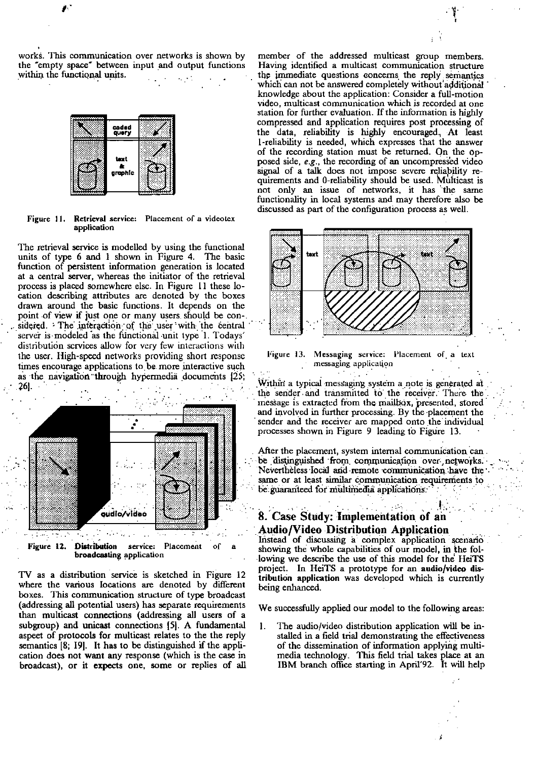works. This communication over networks is shown by the "empty space" between input and output functions within the functional units.



Figure 11. Retrieval service: Placement of a videotex application

The retrieval service is modelled by using the functional units of type 6 and 1 shown in Figure 4. The basic function of persistent information generation is located at a central server, whereas the initiator of the retrieval process is placed somewhere elsc. In Figure 11 these location describing attributes are denoted by the boxes drawn around the basic functions. It depends on the point of view if just one or many users should be considered. The interaction of the user with the central server is modeled as the functional unit type 1. Todays' distribution services allow for very few interactions with the user. High-speed networks providing short response times encourage applications to be more interactive such as the navigation through hypermedia documents [25;



TV as a distribution service is sketched in Figure 12 where the various locations are denoted by different boxes. This communication structure of type broadcast (addressing all potential users) has separate requirements than multicast connections (addressing all users of a subgroup) and unicast connections [5]. A fundamental aspect of protocols for multicast relates to the the reply semantics [8; 19]. It has to be distinguished if the application does not want any response (which is the case in broadcast), or it expects one, some or replies of all

member of the addressed multicast group members. Having identified a multicast communication structure the immediate questions concerns the reply semantics which can not be answered completely without additional knowledge about the application: Consider a full-motion video, multicast communication which is recorded at one station for further evaluation. If the information is highly compressed and application requires post processing of the data, reliability is highly encouraged. At least 1-reliability is needed, which expresses that the answer of the recording station must be returned. On the opposed side, e.g., the recording of an uncompressed video signal of a talk does not impose severe reliability requirements and 0-reliability should be used. Multicast is not only an issue of networks, it has the same functionality in local systems and may therefore also be discussed as part of the configuration process as well.



Figure 13. Messaging service: Placement of a text messaging application

Within a typical messaging system a note is generated at the sender and transmitted to the receiver. There the inessage is extracted from the mailbox, presented, stored and involved in further processing. By the placement the sender and the receiver are mapped onto the individual processes shown in Figure 9 leading to Figure 13.

After the placement, system internal communication can. be distinguished from communication over networks. Nevertheless local and remote communication have the same or at least similar communication requirements to be guaranteed for multimedia applications.

## 8. Case Study: Implementation of an **Audio/Video Distribution Application**

Instead of discussing a complex application scenario showing the whole capabilities of our model, in the following we describe the use of this model for the HeiTS project. In HeiTS a prototype for an audio/video distribution application was developed which is currently being enhanced.

We successfully applied our model to the following areas:

 $\mathbf{1}$ . The audio/video distribution application will be installed in a field trial demonstrating the effectiveness of the dissemination of information applying multimedia technology. This field trial takes place at an IBM branch office starting in April'92. It will help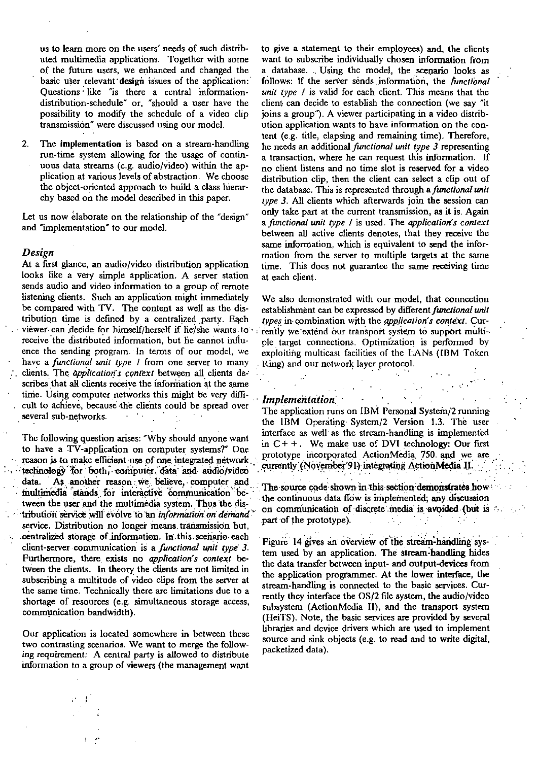us to leam more on the users' needs of such distributed multimedia applications. Together with some of the future users, we enhanced and changed the basic user relevant design issues of the application: Questions like "is there a central informationdistribution-schedule" or, "should a user have the possibility to modiy the schedule of a video clip transmission" were discussed using our modcl.

2. The implementation is based on a stream-handling mn-time system allowing for the usage of continuous data streams (c.g. audio/video) within the application at various levels of abstraction. We choose the object-oriented approach to build a class hierarchy based on the model described in this paper.

Let us now elaborate on the relationship of the "design" and "implementation" to our model.

#### *Design*

At a first glance, an audio/video distribution application looks like a very simple application. A server station sends audio and video information to a group of rernote listening clients. Such an application might immediately be compared with TV. The content as well as the distribution time is defined by a centralized party. Each viewer can decide for himself/herself if he/she wants to receive the distributed information, but he cannot influence the sending prograin. In terms of our modcl, we have a functional unit type *I* from one server to many : clients. The *application's context* between all clients describes that all clients receive the information at the same time. Using computer networks this might be very difficult to achieve, because the clients could be spread over<br>several sub-networks. several sub-networks. The several sub-

The following question arises: "Why should anyone want to have a TV-application on computer systems?" One reason is to make efficient use of one integrated network.<br> **technology** for both, computer, data and audio/video<br>
data. As another reason we believe, computer and data. As another reason we believe, computer and multimedia stands for interactive communication between the user and the multimedia system. Thus the dis-<br>tribution service will evolve to an *information on demand*? service. Distribution no longer means transmission but. . centralized storage of information. In this scenario each client-server communication is a functional unit type 3. Furthermore, there exists no *application's context* between the clients. In theory the clients are not limited in subscribing a multitude of video clips from the server at the same time. Technically there are limitations due to a shortage of resources (e.g. simultaneous storage access, communication bandwidth).

Our application is located somewhere in between these two contrasting scenarios. We want to merge the follow**ing** requiremenl: A cenlrai party is aiiowed to distribuie informalion to a group of viewers (the management want

to give a statement to their employees) and, the clients want to subscribe individually chosen information from a datahase. .. Using thc model, the scenario looks as follows: If the server sends information, the *functional* unit type  $I$  is valid for each client. This means that the client can decide to establish the connection (we say "it joins a group"). A viewer participating in a video distrihution appiication wants to have information on the content (e.g. title, elapsing and remaining time). Therefore, he needs an additional functional unit type 3 representing a transaction, where he can request this information. If no client iistens and no time slot is reserved for a video distribution clip, then the client can select a clip out of the database. This is represented through a *functional unit* type 3. All clients which afterwards join the session can only take part at the current transmission, **as** it is. Again a functional unit type  $I$  is used. The application's context between aU active clients denotes, that they receive the same infomation, which is equivalent to send the information from the server to multiple targets at the sarne time. This does not guarantee the same **hving** time at each client.

We also dernonstrated with our model, that connection establishment can be expressed by different functional unit types in combination with the *application's context*. Currently we extend our transport system to support multiple target connections. Optimization is performed by exploiting multicast facilities of the LANs (IBM Token Ring) and our network layer protocol.

**Implementation**: *Implementation* 

The application runs on IBM Personal System/2 running the IBM Operating System/2 Version 1.3. The user interface as well as the stream-handling is implemented in  $C++$ . We make use of DVI technology: Our first prototype incorporated ActionMedia 750 and we are currently (November'91) integrating ActionMedia II.

. . . . . . . . .

. .

The source code shown in this section demonstrates how the continuous data flow is implemented; any discussion on communication of discrete media is **avoided** (but is  $\sim$ : part of the prototype).

Figure 14 gives an overview of the stream-handling system used by an application. The stream-handling hides the data transfer between input- and output-devices from the application programmer. At the lower interface, the stream-handling is connected to the basic services. Currently they interface the  $OS/2$  file system, the audio/video subsystem (ActionMedia II), and the transport system (HeiTS). Note, the basic services **are** provided by severai libraries and dcvice dnvers which are used to implement source and sink objects (e.g. to read and to write digital, packetized data).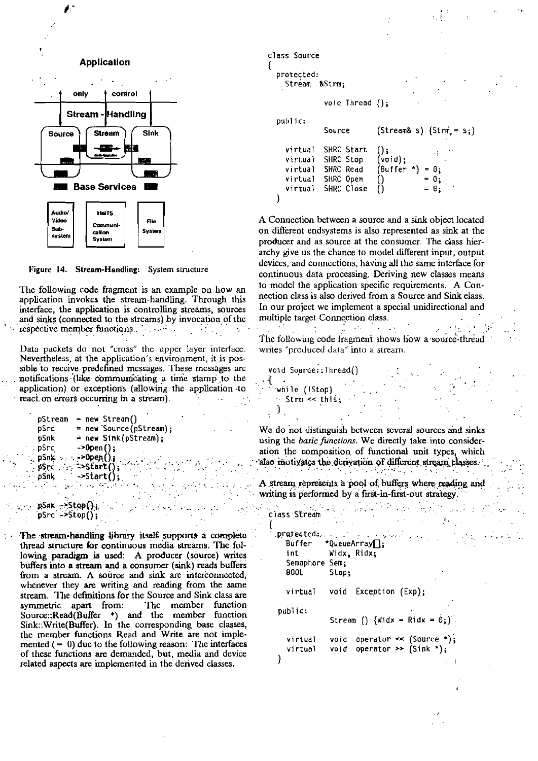



The following code fragment is an example on how an application invokes the stream-handling. Through this interface, the application is controlling streams, sources and sinks (connected to the streams) by invocation of the respective member functions. And the contract of the contract of the contract of the contract of the contract of the contract of the contract of the contract of the contract of the contract of the contract of the contract

Data packets do not "cross" the upper layer interface. Nevertheless, at the application's environment, it is possible to receive predefined messages. These messages are notifications (like communicating a time stamp to the application) or exceptions (allowing the application to react on errors occurring in a stream).

```
pStream = new Stream()= new Source(pStream);
pSrc
pSnk
            = new Sink(pStream);
            -20pen();pSrc
pSnk \rightarrow ->0pen();
pSrc = \frac{1}{2} =>Start();
pSnk
           \rightarrowStart();
             \epsilon and \epsilon is a \epsilonpSak = Stop();
pSrc - Stop();
```
The stream-handling library itself supports a complete thread structure for continuous media streams. The following paradigm is used: A producer (source) writes buffers into a stream and a consumer (sink) reads buffers from a stream. A source and sink are interconnected, whenever they are writing and reading from the same stream. The definitions for the Source and Sink class are symmetric apart from: The member function<br>Source::Read(Buffer \*) and the member function Sink::Write(Buffer). In the corresponding base classes, the member functions Read and Write are not implemented  $( = 0)$  due to the following reason: The interfaces of these functions are demanded, but, media and device related aspects are implemented in the derived classes.

```
class Source
š.
  protected:
    Stream &Strm:
               void Thread():
  public:
               Source
                              (StringStream & s) {Strm = s; }virtual
               SHRC Start
                              () :
                              (void);
    virtual
               SHRC Stop
                              (\text{Buffer *}) = 0;virtual
               SHRC Read
                                           = 0;SHRC Open
    virtual
                              0.
                                           = 0;
    virtual
               SHRC Close
                              \bf{O}\mathcal{E}
```
A Connection between a source and a sink object located on different endsystems is also represented as sink at the producer and as source at the consumer. The class hierarchy give us the chance to model different input, output devices, and connections, having all the same interface for continuous data processing. Deriving new classes means to model the application specific requirements. A Connection class is also derived from a Source and Sink elass. In our project we implement a special unidirectional and multiple target Connection class.

 $\mathcal{O}(\mathcal{O}_\mathcal{O})$  . The set of the set of the  $\mathcal{O}(\mathcal{O}_\mathcal{O})$ The following code fragment shows how a source-thread writes "produced data" into a stream.

```
void Source:: Thread()
₹
  while (!Stop)
  \sim Strm \ll this;
  \mathcal{L}
```
We do not distinguish between several sources and sinks using the basic functions. We directly take into consideration the composition of functional unit types, which also motivates the derivation of different stream classes. <u>The Committee of the Committee of the Committee of the Committee of the Committee of the Committee of the Comm</u><br>The Committee of the Committee of the Committee of the Committee of the Committee of the Committee of the Com

A stream represents a pool of buffers where reading and writing is performed by a first-in-first-out strategy.

 $\label{eq:2} \mathcal{L}_{\text{max}}(\mathcal{L}_{\text{max}}) = \mathcal{L}_{\text{max}}(\mathcal{L}_{\text{max}}) + \mathcal{L}_{\text{max}}(\mathcal{L}_{\text{max}})$ 

```
class Stream
                                              \mathcal{O}(\mathcal{O}(\log n))ł
  \textbf{prated}(\omega) = \omega_{\text{max}} + \frac{\omega_{\text{max}}}{\omega_{\text{max}} + \omega_{\text{max}}}\mathcal{P}^{\mathcal{A}}(\mathcal{C})*QueueArray[];
      Buffer
      int
                     Widx, Ridx;
      Semaphore Sem;
      BOOL
                      Stop;
      virtual
                      void Exception (Exp);
   public:
                      Stream () \{Widx = Ridx = 0;\}void operator \le (Source \le);
      virtual
                      void operator >> (Sink *);virtual
   }
```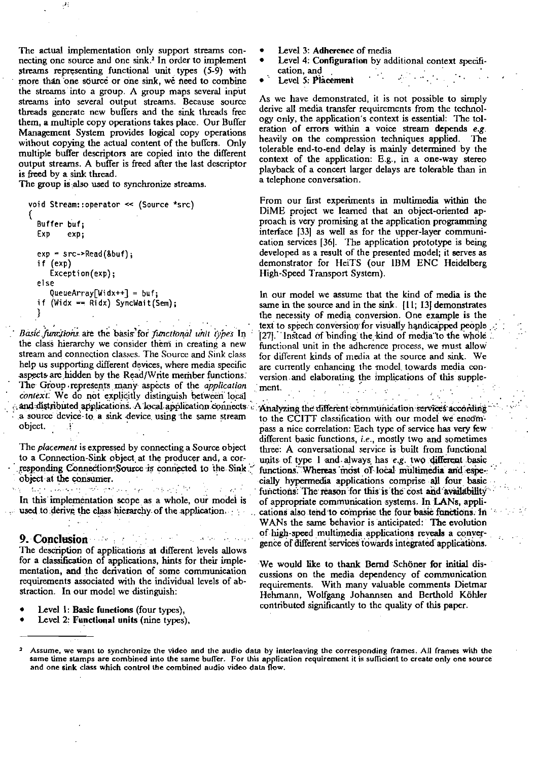The actual implementation only support streams connecting one source and one sink.<sup>2</sup> In order to implement streams representing functional unit types (5-9) with more than one source or one sink, we need to combine the streams into a group. A group maps several input streams into several output streams. Because source threads generate new buffers and the sink threads free them, a multiple copy operations takes place. Our Buffer Management System provides logical copy operations without copying the actual content of the buffers. Only multiple buffer descriptors are copied into the different output streams. A buffer is freed after the last descriptor is freed by a sink thread.

The group is also used to synchronize streams.

```
void Stream::operator << (Source *src)
  Buffer buf:
  Exp
         exp;
  exp = src - > Read(8buf);if (exp)
     Exception(exp);else
     QueueArray[Widx++] = buf;
  if (Widx == Ridx) SyncWait(Sem);
  ₹
```
Basic functions are the basis for functional unit types In the class hierarchy we consider them in creating a new stream and connection classes. The Source and Sink class help us supporting different devices, where media specific aspects are hidden by the Read/Write member functions. The Group represents many aspects of the *application* context. We do not explicitly distinguish between local and distributed applications. A local application connects a source device to a sink device using the same stream object.

The placement is expressed by connecting a Source object to a Connection-Sink object at the producer and, a corresponding Connection-Source is connected to the Sink object at the consumer.

g Magnasius and group and any fit is to an in In this implementation scope as a whole, our model is used to derive the class hierarchy of the application

9. Conclusion and the conclusion  $\mathcal{L}^{\text{max}}$  and  $\mathcal{L}^{\text{max}}$ The description of applications at different levels allows for a classification of applications, hints for their implementation, and the derivation of some communication requirements associated with the individual levels of abstraction. In our model we distinguish:

- Level 1: Basic functions (four types),
- Level 2: Functional units (nine types),
- Level 3: Adherence of media
- Level 4: Configuration by additional context specification, and
- $\mathcal{L}^{(1)}$  $\mathcal{L}_{\text{max}}$  ,  $\mathcal{L}_{\text{max}}$ Level 5: Placement

As we have demonstrated, it is not possible to simply derive all media transfer requirements from the technology only, the application's context is essential: The toleration of errors within a voice stream depends e.g. heavily on the compression techniques applied. The tolerable end-to-end delay is mainly determined by the context of the application: E.g., in a one-way stereo playback of a concert larger delays are tolerable than in a telephone conversation.

From our first experiments in multimedia within the DiME project we learned that an object-oriented approach is very promising at the application programming interface [33] as well as for the upper-layer communication services [36]. The application prototype is being developed as a result of the presented model; it serves as demonstrator for HeiTS (our IBM ENC Heidelberg High-Speed Transport System).

In our model we assume that the kind of media is the same in the source and in the sink. [11; 13] demonstrates the necessity of media conversion. One example is the text to speech conversion for visually handicapped people [27] Instead of binding the kind of media to the whole functional unit in the adhcrence process, we must allow for different kinds of media at the source and sink. We are currently enhancing the model towards media conversion and elaborating the implications of this supplement.  $\mathcal{L}^{\text{max}}_{\text{max}}$  , where  $\mathcal{L}^{\text{max}}_{\text{max}}$ 

Analyzing the different communication services according to the CCITT classification with our model we encompass a nice correlation: Each type of service has very few different basic functions, *i.e.*, mostly two and sometimes three: A conversational service is built from functional units of type 1 and always has e.g. two different basic functions. Whereas most of local multimedia and especially hypermedia applications comprise all four basic functions. The reason for this is the cost and availability of appropriate communication systems. In LANs, applications also tend to comprise the four basic functions. In WANs the same behavior is anticipated: The evolution of high-speed multimedia applications reveals a convergence of different services towards integrated applications.

We would like to thank Bernd Schöner for initial discussions on the media dependency of communication requirements. With many valuable comments Dietmar Hehmann, Wolfgang Johannsen and Berthold Köhler contributed significantly to the quality of this paper.

Assume, we want to synchronize the video and the audio data by interleaving the corresponding frames. All frames with the same time stamps are combined into the same buffer. For this application requirement it is sufficient to create only one source and one sink class which control the combined audio video data flow.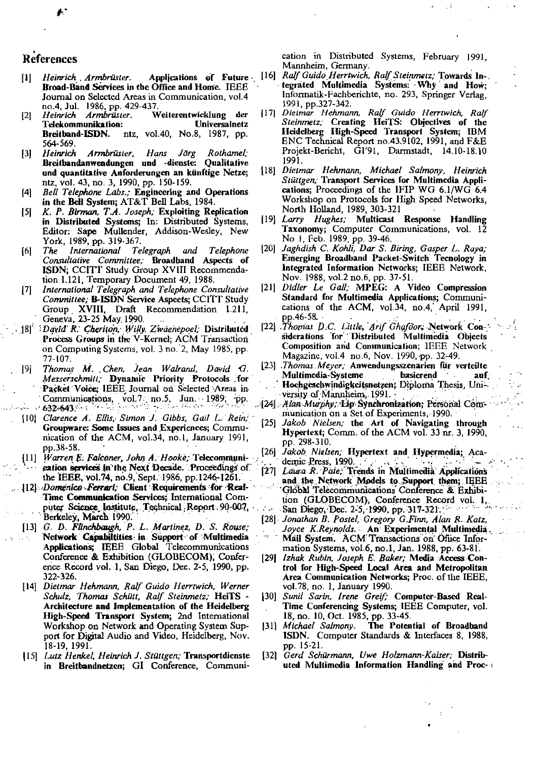# References

- $[1]$ Heinrich Armbrüster. Broad-Band Services in the Office and Home. IEEE Journal on Selected Areas in Communication, vol.4 no.4, Jul. 1986, pp. 429-437<br>Heinrich Armbrüster. V
- $[2]$ Weiterentwicklung der Telekommunikation: Universalnetz ntz, vol.40, No.8, 1987, pp. Breitband-ISDN. 564-569.
- Armbrüster, Heinrich Hans Jörg Rothamel:  $[3]$ Breitbandanwendungen und -dienste: Qualitative und quantitative Anforderungen an künftige Netze; ntz, vol. 43, no. 3, 1990, pp. 150-159.
- Bell Telephone Labs.; Engineering and Operations  $[4]$ in the Bell System; AT&T Bell Labs, 1984.
- K. P. Birman, T.A. Joseph; Exploiting Replication  $\vert$ 5| in Distributed Systems; In: Distributed Systems, Editor: Sape Mullender, Addison-Wesley, New York, 1989, pp. 319-367.
- The International Telegraph  $[6]$ and Telephone Consultative Committee; Broadband Aspects of ISDN; CCITT Study Group XVIII Recommendation 1.121, Temporary Document 49, 1988.
- International Telegraph and Telephone Consultative  $\vert 7 \vert$ Committee: B-ISDN Service Aspects: CCITT Study Group XVIII, Draft Recommendation 1.211,<br>Geneva, 23-25 May 1990.
- [8] David R. Cheriton, Willy Zwaenepoel; Distributed Process Groups in the V-Kernel: ACM Transaction on Computing Systems, vol. 3 no. 2, May 1985, pp. 77-107.
- Thomas M. Chen, Jean Walrand, David G.  $[9]$ Messerschmitt; Dynamic Priority Protocols for Packet Voice; IEEE Journal on Selected Areas in Communications, vol. 7 no. 5, Jun. 1989, pp.
- [10] Clarence A. Ellis, Simon J. Gibbs, Gail L. Rein, Groupware: Some Issues and Experiences; Communication of the ACM, vol.34, no.1, January 1991, pp.38-58.
- [11] Warren E. Falconer, John A. Hooke, Telecommunication services in the Next Decade. Proceedings of the IEEE, vol.74, no.9, Sept. 1986, pp.1246-1261.
- [12] *Domenico Ferrari*; Client Requirements for Real-Time Communication Services; International Computer Science Institute, Technical Report 90-007, Berkeley, March 1990.
	- [13] G. D. Flinchbaugh, P. L. Martinez, D. S. Rouse; Network Capabiltities in Support of Multimedia Applications; IEEE Global Telecommunications Conference & Exhibition (GLOBECOM), Conference Record vol. 1, San Diego, Dec. 2-5, 1990, pp. 322-326.
	- [14] Dietmar Hehmann, Ralf Guido Herrtwich, Werner Schulz, Thomas Schütt, Ralf Steinmetz; HeiTS -Architecture and Implementation of the Heidelberg High-Speed Transport System; 2nd International Workshop on Network and Operating System Support for Digital Audio and Video, Heidelberg, Nov. 18-19, 1991.
	- [15] Lutz Henkel, Heinrich J. Stüttgen; Transportdienste in Breitbandnetzen; GI Conference, Communi-

cation in Distributed Systems, February 1991, Mannheim, Germany.

- Applications of Future [16] Ralf Guido Herrtwich, Ralf Steinmetz; Towards In-. tegrated Multimedia Systems: Why and How; Informatik-Fachberichte, no. 293, Springer Verlag. 1991, pp.327-342.
	- [17] Dietmar Hehmann, Ralf Guido Herrtwich, Ralf Steinmetz; Creating HeiTS: Objectives of the<br>Heidelberg High-Speed Transport System; IBM ENC Technical Report no.43.9102, 1991, and F&E Projekt-Bericht, Gl'91, Darmstadt, 14.10-18.10  $1991.$
	- [18] Dietmar Hehmann, Michael Salmony, Heinrich Stüttgen; Transport Services for Multimedia Applications; Proceedings of the IFIP WG 6.1/WG 6.4 Workshop on Protocols for High Speed Networks, North Holland, 1989, 303-321
	- [19] Larry Hughes; Multicast Response Handling Taxonomy; Computer Communications, vol. 12 No 1, Feb. 1989, pp. 39-46.<br>[20] Jaghdish C. Kohli, Dar S. Biring, Gasper L. Raya;
	- Emerging Broadband Packet-Switch Tecnology in Integrated Information Networks; IEEE Network, Nov. 1988, vol.2 no.6, pp. 37-51.
	- [21] Didler Le Gall; MPEG: A Video Compression Standard for Multimedia Applications; Communications of the ACM, vol.34, no.4, April 1991, pp.46-58.
	- [22] Thomas D.C. Little, Arif Ghafoor, Network Considerations for Distributed Multimedia Objects Composition and Communication; IEEE Network Magazine, vol.4 no.6, Nov. 1990, pp. 32-49.
	- [23] .Thomas Meyer; Anwendungsszenarien für verteilte Multimedia-Systeme basierend auf Hochgeschwindigkeitsnetzen; Diploma Thesis, University of Mannheim, 1991.
	- [24] Alan Murphy, Lip Synchronization; Personal Communication on a Set of Experiments, 1990.
	- [25] Jakob Nielsen; the Art of Navigating through Hypertext; Comm. of the ACM vol. 33 nr. 3, 1990, pp. 298-310.
	- [26] Jakob Nielsen, Hypertext and Hypermedia; Academic Press, 1990.<br>[27] Laura R. Pate; Trends in Multimedia Applications
	- and the Network Models to Support them; IEEE Global Telecommunications Conference & Exhibition (GLOBECOM), Conference Record vol. 1, San Diego, Dec. 2-5, 1990, pp. 317-321.
	- [28] Jonathan B. Postel, Gregory G.Finn, Alan R. Katz, Joyce K.Reynolds. An Experimental Multimedia. Mail System. ACM Transactions on Office Information Systems, vol.6, no.1, Jan. 1988, pp. 63-81.
	- $\lceil 29 \rceil$ Izhak Rubin, Joseph E. Baker; Media Access Control for High-Speed Local Area and Metropolitan Area Communication Networks; Proc. of the IEEE, vol. 78, no. 1, January 1990.
	- [30] Sunil Sarin, Irene Greif; Computer-Based Real-Time Conferencing Systems; IEEE Computer, vol. 18, no. 10, Oct. 1985, pp. 33-45.
	- The Potential of Broadband [31] Michael Salmony. ISDN. Computer Standards & Interfaces 8, 1988, pp. 15-21.
	- [32] Gerd Schürmann, Uwe Holzmann-Kaiser; Distributed Multimedia Information Handling and Proc-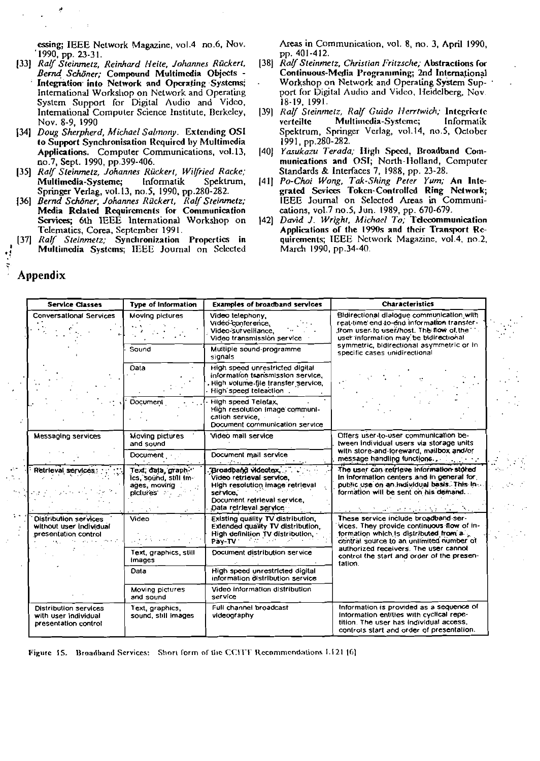essing; IEEE Network Magazine, vol.4 no.6, Nov. 1990, pp. 23-31.

- [33] Ralf Steinmetz, Reinhard Heite, Johannes Rückert, Bernd Schöner: Compound Multimedia Objects -Integration into Network and Operating Systems: International Workshop on Network and Operating System Support for Digital Audio and Video, International Computer Science Institute, Berkeley, Nov. 8-9, 1990
- $[34]$ Doug Sherpherd, Michael Salmony. Extending OSI to Support Synchronisation Required by Multimedia Applications. Computer Communications, vol.13, no.7, Sept. 1990, pp.399-406.
- [35] Ralf Steinmetz, Johannes Rückert, Wilfried Racke; Multimedia-Systeme; Informatik Spektrum, Springer Verlag, vol. 13, no. 5, 1990, pp. 280-282.
- Bernd Schöner, Johannes Rückert, Ralf Steinmetz;  $[36]$ Media Related Requirements for Communication Scrvices; 6th IEEE International Workshop on Telematics, Corea, September 1991.
- $[37]$ Ralf Steinmetz; Synchronization Propertics in Multimedia Systems; IEEE Journal on Selected

Areas in Communication, vol. 8, no. 3, April 1990, pp. 401-412.

- [38] Ralf Steinmetz, Christian Fritzsche; Abstractions for Continuous-Media Programming; 2nd International Workshop on Network and Operating System Support for Digital Audio and Video, Heidelberg, Nov. 18-19, 1991.
- [39] Ralf Steinmetz, Ralf Guido Herrtwich; Integrierte verteilte Multimedia-Systeme; Informatik Spektrum, Springer Verlag, vol.14, no.5, October 1991, pp.280-282.
- [40] Yasukazu Terada; High Speed, Broadband Communications and OSI, North-Holland, Computer Standards & Interfaces 7, 1988, pp. 23-28.
- [41] Po-Choi Wong, Tak-Shing Peter Yum; An Integrated Sevices Token-Controlled Ring Network: IEEE Journal on Selected Areas in Communications, vol.7 no.5, Jun. 1989, pp. 670-679.
- [42] David J. Wright, Michael To, Telecommunication Applications of the 1990s and their Transport Requirements; IEEE Network Magazine, vol.4, no.2, March 1990, pp.34-40.

| <b>Service Classes</b>                                                                                        | <b>Type of Information</b>                                                 | <b>Examples of broadband services</b>                                                                                                                      | <b>Characteristics</b>                                                                                                                                                                                                                                                     |  |
|---------------------------------------------------------------------------------------------------------------|----------------------------------------------------------------------------|------------------------------------------------------------------------------------------------------------------------------------------------------------|----------------------------------------------------------------------------------------------------------------------------------------------------------------------------------------------------------------------------------------------------------------------------|--|
| Conversational Services                                                                                       | Moving pictures                                                            | Video telephony,<br>Video-conference.<br>Video sul veillance,<br>Video transmissión service                                                                | Bidirectional dialogue communication with<br>real-time end to-end information transfer-<br>from user to user/host. The flow of the<br>user information may be bidirectional<br>symmetric, bidirectional asymmetric or in<br>specific cases unidirectional                  |  |
|                                                                                                               | Sound                                                                      | Multiple sound-programme<br>signals                                                                                                                        |                                                                                                                                                                                                                                                                            |  |
|                                                                                                               | <b>Data</b>                                                                | High speed unrestricted digital<br>information transmission service,<br>High volume file transfer service,<br>High speed teleaction.                       |                                                                                                                                                                                                                                                                            |  |
|                                                                                                               | <b>Document</b>                                                            | High speed Telefax,<br>High resolution image communi-<br>cation service.<br>Document communication service                                                 |                                                                                                                                                                                                                                                                            |  |
| Messaging services                                                                                            | Moving pictures<br>and sound                                               | Video mail service                                                                                                                                         | Offers user-to-user communication be-<br>tween individual users via storage units<br>with store-and-foreward, mailbox and/or<br>message handling functions.                                                                                                                |  |
|                                                                                                               | Document                                                                   | Document mail service<br>state of the control of the control                                                                                               |                                                                                                                                                                                                                                                                            |  |
| Retrieval services:                                                                                           | Text; data, graph "<br>ics, sound, still Im-<br>ages, moving<br>pictures . | "Broadband videotex, "<br>Video retrieval service,<br>High resolution image retrieval<br>service.<br>Document retrieval service,<br>Data retrieval service | The user can retrieve information stored<br>In information centers and in general for,<br>public use on an individual basis. This in-<br>formation will be sent on his demand<br>the contract of the contract of the                                                       |  |
| <b>Distribution services</b><br>without user individual<br>presentation control<br>$\mathbf{E}(\mathbf{r},t)$ | Video                                                                      | Existing quality TV distribution,<br>Extended quality TV distribution,<br>High definition TV distribution,<br>Pay-TV                                       | These service include broadband ser-<br>vices. They provide continuous flow of in-<br>formation which is distributed from a.<br>central source to an unlimited number of<br>authorized receivers. The user cannot<br>control the start and order of the presen-<br>tation. |  |
|                                                                                                               | Text, graphics, still<br>Images                                            | Document distribution service                                                                                                                              |                                                                                                                                                                                                                                                                            |  |
|                                                                                                               | Data                                                                       | High speed unrestricted digital<br>information distribution service                                                                                        |                                                                                                                                                                                                                                                                            |  |
|                                                                                                               | Moving pictures<br>and sound                                               | Video information distribution<br>service                                                                                                                  |                                                                                                                                                                                                                                                                            |  |
| <b>Distribution services</b><br>with user individual<br>presentation control                                  | Text, graphics,<br>sound, still Images                                     | Full channel broadcast<br>videography                                                                                                                      | Information is provided as a sequence of<br>information entitles with cyclical repe-<br>tition. The user has individual access,<br>controls start and order of presentation.                                                                                               |  |

Figure 15. Broadband Services: Short form of the CCITT Recommendations 1.121 [6]

### Appendix